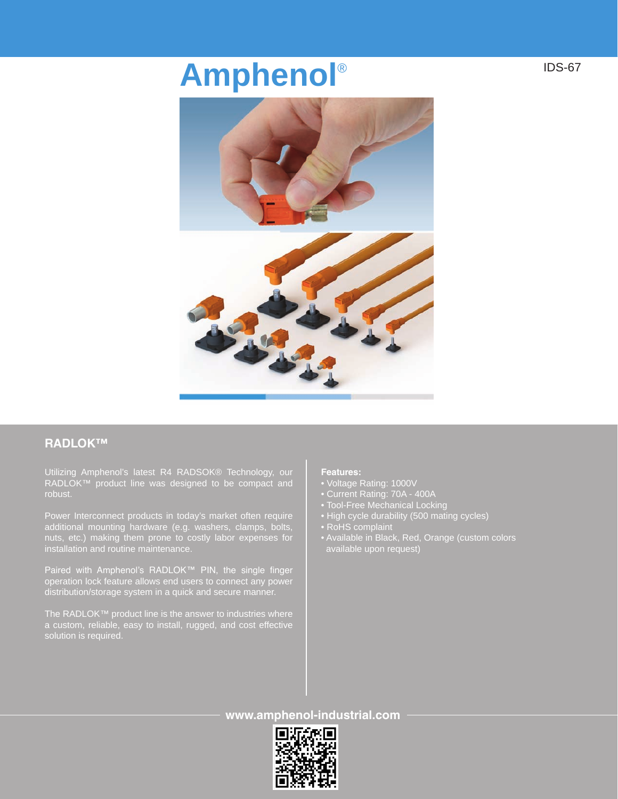# **Amphenol**®



## **RADLOK™**

Utilizing Amphenol's latest R4 RADSOK® Technology, our RADLOK™ product line was designed to be compact and robust.

Power Interconnect products in today's market often require additional mounting hardware (e.g. washers, clamps, bolts, nuts, etc.) making them prone to costly labor expenses for installation and routine maintenance.

Paired with Amphenol's RADLOK™ PIN, the single finger distribution/storage system in a quick and secure manner.

The RADLOK™ product line is the answer to industries where a custom, reliable, easy to install, rugged, and cost effective solution is required.

## **Features:**

- Voltage Rating: 1000V
- Current Rating: 70A 400A
- Tool-Free Mechanical Locking
- High cycle durability (500 mating cycles)
- RoHS complaint
- Available in Black, Red, Orange (custom colors available upon request)

**www.amphenol-industrial.com**